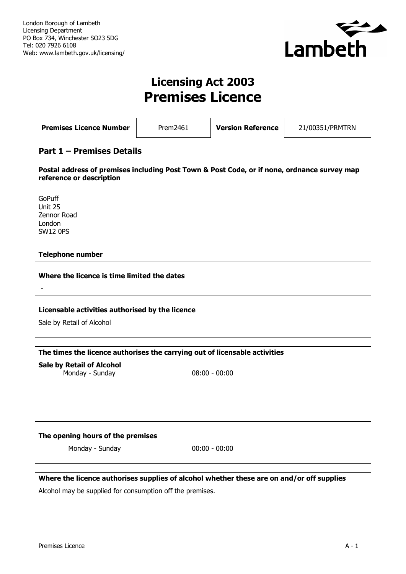

# **Licensing Act 2003 Premises Licence**

| <b>Premises Licence Number</b> | Prem2461 | <b>Version Reference</b> | 21/00351/PRMTRN |
|--------------------------------|----------|--------------------------|-----------------|
|--------------------------------|----------|--------------------------|-----------------|

# **Part 1 – Premises Details**

**Postal address of premises including Post Town & Post Code, or if none, ordnance survey map reference or description** GoPuff Unit 25 Zennor Road London SW12 0PS **Telephone number**

## **Where the licence is time limited the dates**

-

# **Licensable activities authorised by the licence**

Sale by Retail of Alcohol

**The times the licence authorises the carrying out of licensable activities**

**Sale by Retail of Alcohol** Monday - Sunday 08:00 - 00:00

### **The opening hours of the premises**

Monday - Sunday 00:00 - 00:00

**Where the licence authorises supplies of alcohol whether these are on and/or off supplies** Alcohol may be supplied for consumption off the premises.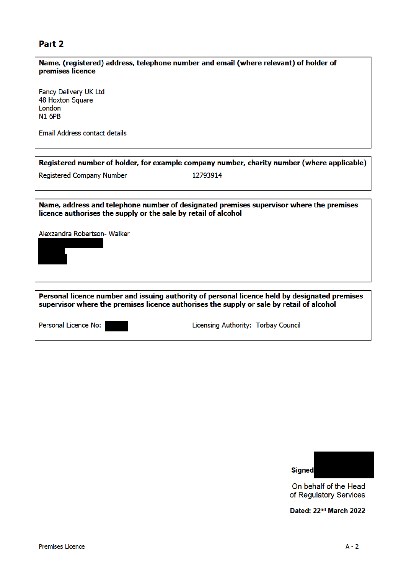# Part 2

| Name, (registered) address, telephone number and email (where relevant) of holder of<br>premises licence                                                                                  |  |  |  |
|-------------------------------------------------------------------------------------------------------------------------------------------------------------------------------------------|--|--|--|
| <b>Fancy Delivery UK Ltd</b><br>48 Hoxton Square<br>London<br><b>N1 6PB</b><br>Email Address contact details                                                                              |  |  |  |
| Registered number of holder, for example company number, charity number (where applicable)                                                                                                |  |  |  |
| <b>Registered Company Number</b><br>12793914                                                                                                                                              |  |  |  |
|                                                                                                                                                                                           |  |  |  |
| Name, address and telephone number of designated premises supervisor where the premises<br>licence authorises the supply or the sale by retail of alcohol                                 |  |  |  |
| Alexzandra Robertson- Walker                                                                                                                                                              |  |  |  |
| Personal licence number and issuing authority of personal licence held by designated premises<br>supervisor where the premises licence authorises the supply or sale by retail of alcohol |  |  |  |
| Personal Licence No:<br>Licensing Authority: Torbay Council                                                                                                                               |  |  |  |



On behalf of the Head<br>of Regulatory Services

Dated: 22nd March 2022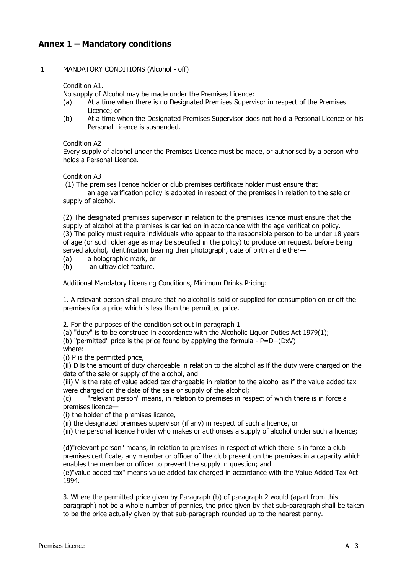# **Annex 1 – Mandatory conditions**

### 1 MANDATORY CONDITIONS (Alcohol - off)

Condition A1.

No supply of Alcohol may be made under the Premises Licence:

- (a) At a time when there is no Designated Premises Supervisor in respect of the Premises Licence; or
- (b) At a time when the Designated Premises Supervisor does not hold a Personal Licence or his Personal Licence is suspended.

#### Condition A2

Every supply of alcohol under the Premises Licence must be made, or authorised by a person who holds a Personal Licence.

Condition A3

(1) The premises licence holder or club premises certificate holder must ensure that

an age verification policy is adopted in respect of the premises in relation to the sale or supply of alcohol.

(2) The designated premises supervisor in relation to the premises licence must ensure that the supply of alcohol at the premises is carried on in accordance with the age verification policy. (3) The policy must require individuals who appear to the responsible person to be under 18 years of age (or such older age as may be specified in the policy) to produce on request, before being served alcohol, identification bearing their photograph, date of birth and either—<br>(a) a holographic mark, or

(a) a holographic mark, or<br>(b) an ultraviolet feature. an ultraviolet feature.

Additional Mandatory Licensing Conditions, Minimum Drinks Pricing:

1. A relevant person shall ensure that no alcohol is sold or supplied for consumption on or off the premises for a price which is less than the permitted price.

2. For the purposes of the condition set out in paragraph 1

(a) "duty" is to be construed in accordance with the Alcoholic Liquor Duties Act 1979(1);

(b) "permitted" price is the price found by applying the formula -  $P=D+(DxV)$ 

where:

(i) P is the permitted price,

(ii) D is the amount of duty chargeable in relation to the alcohol as if the duty were charged on the date of the sale or supply of the alcohol, and

(iii) V is the rate of value added tax chargeable in relation to the alcohol as if the value added tax were charged on the date of the sale or supply of the alcohol;

(c) "relevant person" means, in relation to premises in respect of which there is in force a premises licence—

(i) the holder of the premises licence,

(ii) the designated premises supervisor (if any) in respect of such a licence, or

(iii) the personal licence holder who makes or authorises a supply of alcohol under such a licence;

(d)"relevant person" means, in relation to premises in respect of which there is in force a club premises certificate, any member or officer of the club present on the premises in a capacity which enables the member or officer to prevent the supply in question; and

(e)"value added tax" means value added tax charged in accordance with the Value Added Tax Act 1994.

3. Where the permitted price given by Paragraph (b) of paragraph 2 would (apart from this paragraph) not be a whole number of pennies, the price given by that sub-paragraph shall be taken to be the price actually given by that sub-paragraph rounded up to the nearest penny.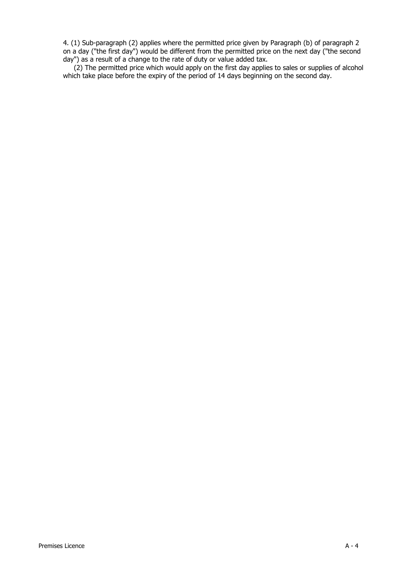4. (1) Sub-paragraph (2) applies where the permitted price given by Paragraph (b) of paragraph 2 on a day ("the first day") would be different from the permitted price on the next day ("the second day") as a result of a change to the rate of duty or value added tax.

(2) The permitted price which would apply on the first day applies to sales or supplies of alcohol which take place before the expiry of the period of 14 days beginning on the second day.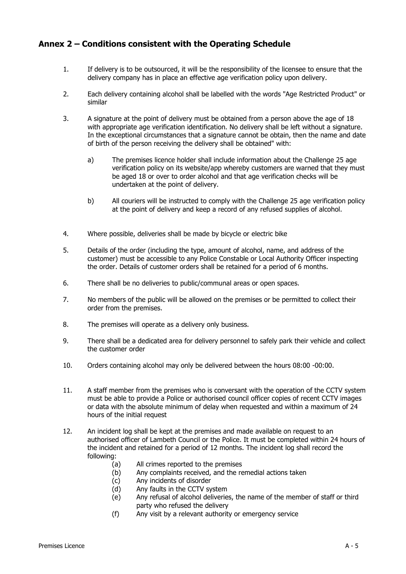# **Annex 2 – Conditions consistent with the Operating Schedule**

- 1. If delivery is to be outsourced, it will be the responsibility of the licensee to ensure that the delivery company has in place an effective age verification policy upon delivery.
- 2. Each delivery containing alcohol shall be labelled with the words "Age Restricted Product" or similar
- 3. A signature at the point of delivery must be obtained from a person above the age of 18 with appropriate age verification identification. No delivery shall be left without a signature. In the exceptional circumstances that a signature cannot be obtain, then the name and date of birth of the person receiving the delivery shall be obtained" with:
	- a) The premises licence holder shall include information about the Challenge 25 age verification policy on its website/app whereby customers are warned that they must be aged 18 or over to order alcohol and that age verification checks will be undertaken at the point of delivery.
	- b) All couriers will be instructed to comply with the Challenge 25 age verification policy at the point of delivery and keep a record of any refused supplies of alcohol.
- 4. Where possible, deliveries shall be made by bicycle or electric bike
- 5. Details of the order (including the type, amount of alcohol, name, and address of the customer) must be accessible to any Police Constable or Local Authority Officer inspecting the order. Details of customer orders shall be retained for a period of 6 months.
- 6. There shall be no deliveries to public/communal areas or open spaces.
- 7. No members of the public will be allowed on the premises or be permitted to collect their order from the premises.
- 8. The premises will operate as a delivery only business.
- 9. There shall be a dedicated area for delivery personnel to safely park their vehicle and collect the customer order
- 10. Orders containing alcohol may only be delivered between the hours 08:00 -00:00.
- 11. A staff member from the premises who is conversant with the operation of the CCTV system must be able to provide a Police or authorised council officer copies of recent CCTV images or data with the absolute minimum of delay when requested and within a maximum of 24 hours of the initial request
- 12. An incident log shall be kept at the premises and made available on request to an authorised officer of Lambeth Council or the Police. It must be completed within 24 hours of the incident and retained for a period of 12 months. The incident log shall record the following:
	- (a) All crimes reported to the premises<br>(b) Any complaints received, and the re
	- (b) Any complaints received, and the remedial actions taken<br>(c) Any incidents of disorder
	- Any incidents of disorder
	- (d) Any faults in the CCTV system
	- (e) Any refusal of alcohol deliveries, the name of the member of staff or third party who refused the delivery
	- (f) Any visit by a relevant authority or emergency service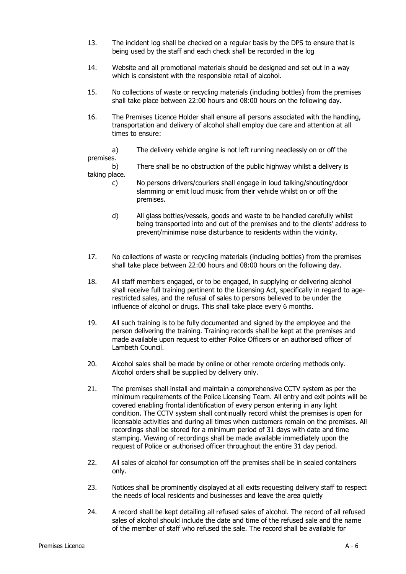- 13. The incident log shall be checked on a regular basis by the DPS to ensure that is being used by the staff and each check shall be recorded in the log
- 14. Website and all promotional materials should be designed and set out in a way which is consistent with the responsible retail of alcohol.
- 15. No collections of waste or recycling materials (including bottles) from the premises shall take place between 22:00 hours and 08:00 hours on the following day.
- 16. The Premises Licence Holder shall ensure all persons associated with the handling, transportation and delivery of alcohol shall employ due care and attention at all times to ensure:

a) The delivery vehicle engine is not left running needlessly on or off the premises.<br>b)

There shall be no obstruction of the public highway whilst a delivery is taking place.

- c) No persons drivers/couriers shall engage in loud talking/shouting/door slamming or emit loud music from their vehicle whilst on or off the premises.
- d) All glass bottles/vessels, goods and waste to be handled carefully whilst being transported into and out of the premises and to the clients' address to prevent/minimise noise disturbance to residents within the vicinity.
- 17. No collections of waste or recycling materials (including bottles) from the premises shall take place between 22:00 hours and 08:00 hours on the following day.
- 18. All staff members engaged, or to be engaged, in supplying or delivering alcohol shall receive full training pertinent to the Licensing Act, specifically in regard to agerestricted sales, and the refusal of sales to persons believed to be under the influence of alcohol or drugs. This shall take place every 6 months.
- 19. All such training is to be fully documented and signed by the employee and the person delivering the training. Training records shall be kept at the premises and made available upon request to either Police Officers or an authorised officer of Lambeth Council.
- 20. Alcohol sales shall be made by online or other remote ordering methods only. Alcohol orders shall be supplied by delivery only.
- 21. The premises shall install and maintain a comprehensive CCTV system as per the minimum requirements of the Police Licensing Team. All entry and exit points will be covered enabling frontal identification of every person entering in any light condition. The CCTV system shall continually record whilst the premises is open for licensable activities and during all times when customers remain on the premises. All recordings shall be stored for a minimum period of 31 days with date and time stamping. Viewing of recordings shall be made available immediately upon the request of Police or authorised officer throughout the entire 31 day period.
- 22. All sales of alcohol for consumption off the premises shall be in sealed containers only.
- 23. Notices shall be prominently displayed at all exits requesting delivery staff to respect the needs of local residents and businesses and leave the area quietly
- 24. A record shall be kept detailing all refused sales of alcohol. The record of all refused sales of alcohol should include the date and time of the refused sale and the name of the member of staff who refused the sale. The record shall be available for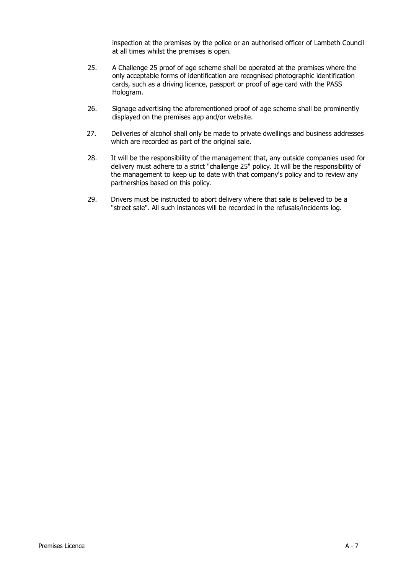inspection at the premises by the police or an authorised officer of Lambeth Council at all times whilst the premises is open.

- 25. A Challenge 25 proof of age scheme shall be operated at the premises where the only acceptable forms of identification are recognised photographic identification cards, such as a driving licence, passport or proof of age card with the PASS Hologram.
- 26. Signage advertising the aforementioned proof of age scheme shall be prominently displayed on the premises app and/or website.
- 27. Deliveries of alcohol shall only be made to private dwellings and business addresses which are recorded as part of the original sale.
- 28. It will be the responsibility of the management that, any outside companies used for delivery must adhere to a strict "challenge 25" policy. It will be the responsibility of the management to keep up to date with that company's policy and to review any partnerships based on this policy.
- 29. Drivers must be instructed to abort delivery where that sale is believed to be a "street sale". All such instances will be recorded in the refusals/incidents log.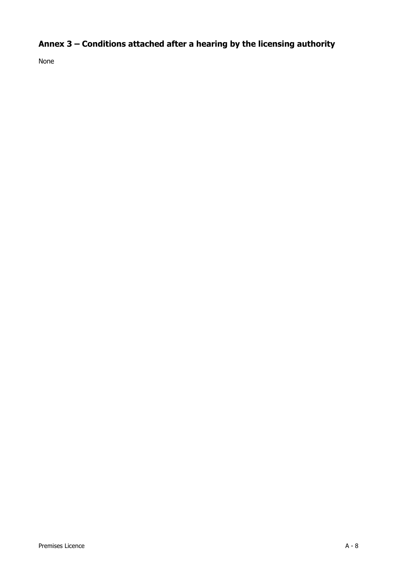# **Annex 3 – Conditions attached after a hearing by the licensing authority**

None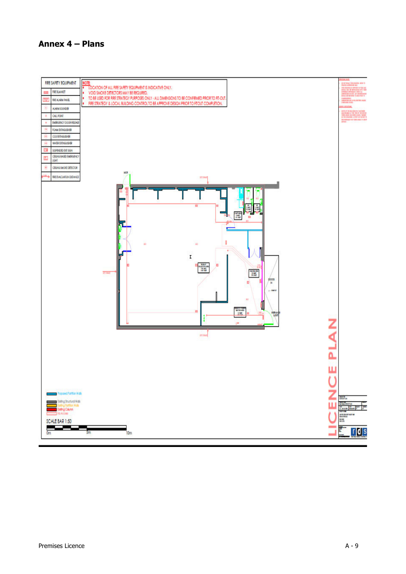# **Annex 4 – Plans**

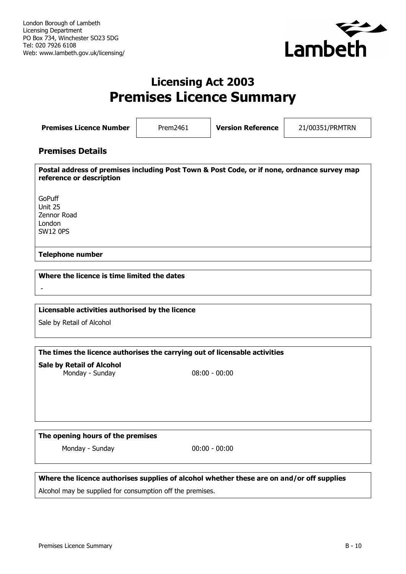

# **Licensing Act 2003 Premises Licence Summary**

**Premises Licence Number** Prem2461 **Version Reference** 21/00351/PRMTRN

# **Premises Details**

**Postal address of premises including Post Town & Post Code, or if none, ordnance survey map reference or description** GoPuff Unit 25 Zennor Road London SW12 0PS

### **Telephone number**

**Where the licence is time limited the dates**

-

### **Licensable activities authorised by the licence**

Sale by Retail of Alcohol

**The times the licence authorises the carrying out of licensable activities**

**Sale by Retail of Alcohol** Monday - Sunday 08:00 - 00:00

### **The opening hours of the premises**

Monday - Sunday 00:00 - 00:00

**Where the licence authorises supplies of alcohol whether these are on and/or off supplies** Alcohol may be supplied for consumption off the premises.